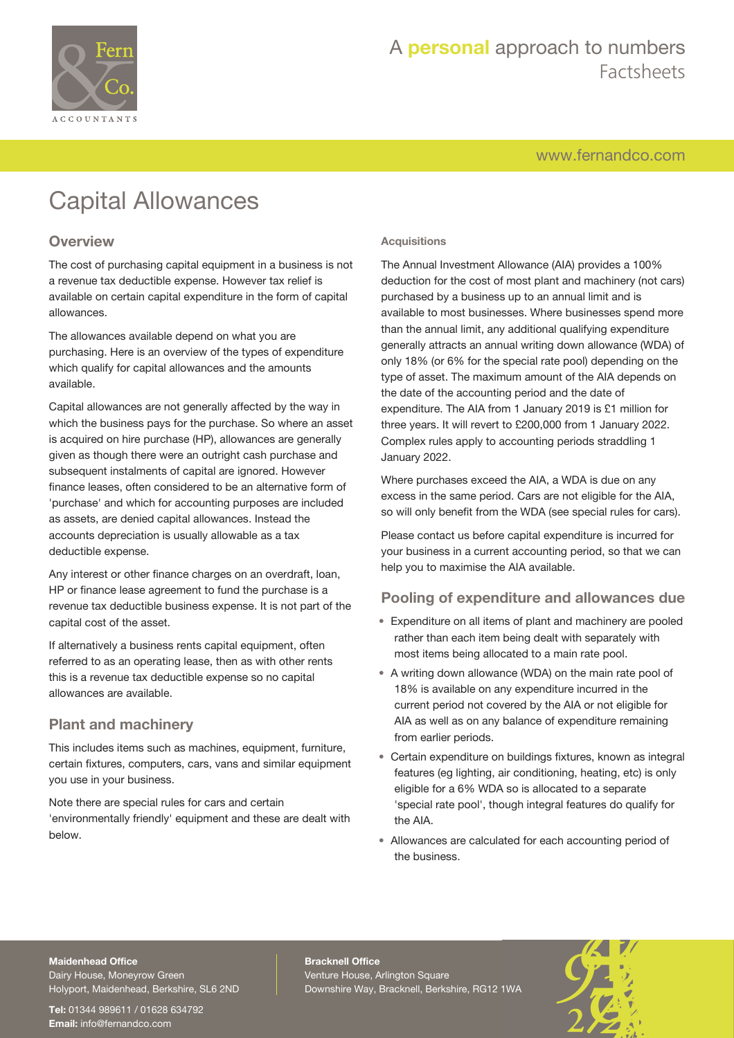

# A **personal** approach to numbers Factsheets

[www.fernandco.com](http://www.fernandco.com)

# Capital Allowances

### **Overview**

The cost of purchasing capital equipment in a business is not a revenue tax deductible expense. However tax relief is available on certain capital expenditure in the form of capital allowances.

The allowances available depend on what you are purchasing. Here is an overview of the types of expenditure which qualify for capital allowances and the amounts available.

Capital allowances are not generally affected by the way in which the business pays for the purchase. So where an asset is acquired on hire purchase (HP), allowances are generally given as though there were an outright cash purchase and subsequent instalments of capital are ignored. However finance leases, often considered to be an alternative form of 'purchase' and which for accounting purposes are included as assets, are denied capital allowances. Instead the accounts depreciation is usually allowable as a tax deductible expense.

Any interest or other finance charges on an overdraft, loan, HP or finance lease agreement to fund the purchase is a revenue tax deductible business expense. It is not part of the capital cost of the asset.

If alternatively a business rents capital equipment, often referred to as an operating lease, then as with other rents this is a revenue tax deductible expense so no capital allowances are available.

### **Plant and machinery**

This includes items such as machines, equipment, furniture, certain fixtures, computers, cars, vans and similar equipment you use in your business.

Note there are special rules for cars and certain 'environmentally friendly' equipment and these are dealt with below.

#### **Acquisitions**

The Annual Investment Allowance (AIA) provides a 100% deduction for the cost of most plant and machinery (not cars) purchased by a business up to an annual limit and is available to most businesses. Where businesses spend more than the annual limit, any additional qualifying expenditure generally attracts an annual writing down allowance (WDA) of only 18% (or 6% for the special rate pool) depending on the type of asset. The maximum amount of the AIA depends on the date of the accounting period and the date of expenditure. The AIA from 1 January 2019 is £1 million for three years. It will revert to £200,000 from 1 January 2022. Complex rules apply to accounting periods straddling 1 January 2022.

Where purchases exceed the AIA, a WDA is due on any excess in the same period. Cars are not eligible for the AIA, so will only benefit from the WDA (see special rules for cars).

Please contact us before capital expenditure is incurred for your business in a current accounting period, so that we can help you to maximise the AIA available.

### **Pooling of expenditure and allowances due**

- Expenditure on all items of plant and machinery are pooled rather than each item being dealt with separately with most items being allocated to a main rate pool.
- A writing down allowance (WDA) on the main rate pool of 18% is available on any expenditure incurred in the current period not covered by the AIA or not eligible for AIA as well as on any balance of expenditure remaining from earlier periods.
- Certain expenditure on buildings fixtures, known as integral features (eg lighting, air conditioning, heating, etc) is only eligible for a 6% WDA so is allocated to a separate 'special rate pool', though integral features do qualify for the AIA.
- Allowances are calculated for each accounting period of the business.

#### **Maidenhead Office**

Dairy House, Moneyrow Green Holyport, Maidenhead, Berkshire, SL6 2ND

**Tel:** 01344 989611 / 01628 634792 **Email:** [info@fernandco.com](mailto:info@fernandco.com)

**Bracknell Office** Venture House, Arlington Square Downshire Way, Bracknell, Berkshire, RG12 1WA

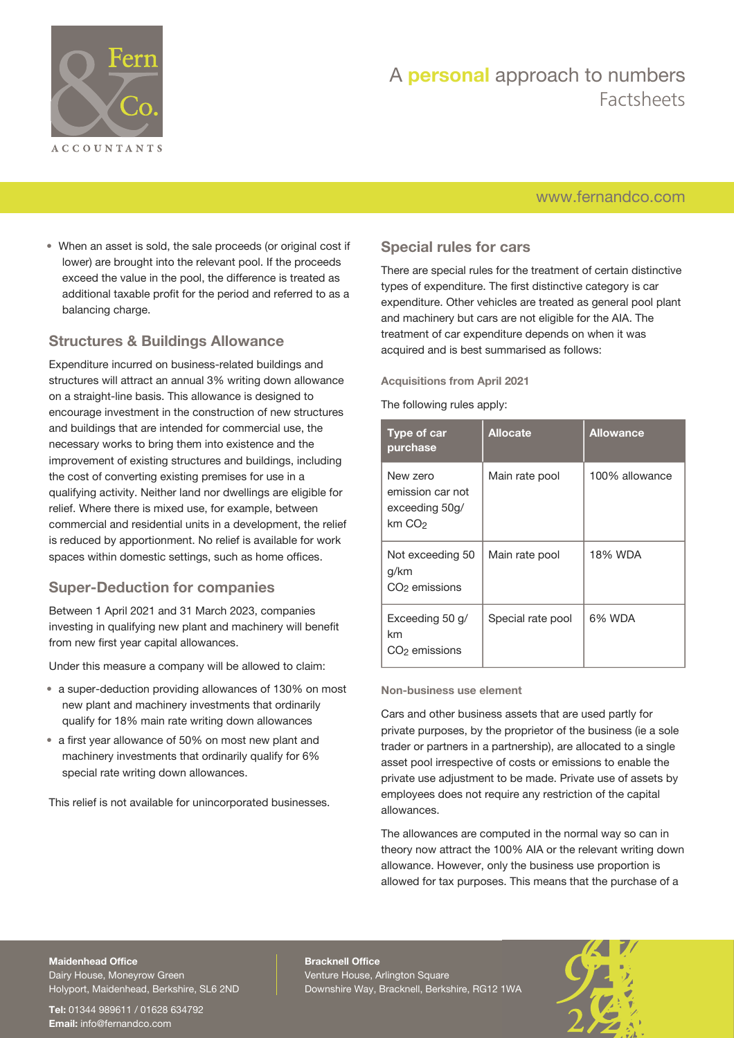

# A **personal** approach to numbers Factsheets

### [www.fernandco.com](http://www.fernandco.com)

• When an asset is sold, the sale proceeds (or original cost if lower) are brought into the relevant pool. If the proceeds exceed the value in the pool, the difference is treated as additional taxable profit for the period and referred to as a balancing charge.

### **Structures & Buildings Allowance**

Expenditure incurred on business-related buildings and structures will attract an annual 3% writing down allowance on a straight-line basis. This allowance is designed to encourage investment in the construction of new structures and buildings that are intended for commercial use, the necessary works to bring them into existence and the improvement of existing structures and buildings, including the cost of converting existing premises for use in a qualifying activity. Neither land nor dwellings are eligible for relief. Where there is mixed use, for example, between commercial and residential units in a development, the relief is reduced by apportionment. No relief is available for work spaces within domestic settings, such as home offices.

### **Super-Deduction for companies**

Between 1 April 2021 and 31 March 2023, companies investing in qualifying new plant and machinery will benefit from new first year capital allowances.

Under this measure a company will be allowed to claim:

- a super-deduction providing allowances of 130% on most new plant and machinery investments that ordinarily qualify for 18% main rate writing down allowances
- a first year allowance of 50% on most new plant and machinery investments that ordinarily qualify for 6% special rate writing down allowances.

This relief is not available for unincorporated businesses.

### **Special rules for cars**

There are special rules for the treatment of certain distinctive types of expenditure. The first distinctive category is car expenditure. Other vehicles are treated as general pool plant and machinery but cars are not eligible for the AIA. The treatment of car expenditure depends on when it was acquired and is best summarised as follows:

#### **Acquisitions from April 2021**

The following rules apply:

| Type of car<br>purchase                                              | <b>Allocate</b>   | <b>Allowance</b> |
|----------------------------------------------------------------------|-------------------|------------------|
| New zero<br>emission car not<br>exceeding 50g/<br>km CO <sub>2</sub> | Main rate pool    | 100% allowance   |
| Not exceeding 50<br>g/km<br>CO <sub>2</sub> emissions                | Main rate pool    | 18% WDA          |
| Exceeding 50 g/<br>km<br>CO <sub>2</sub> emissions                   | Special rate pool | 6% WDA           |

#### **Non-business use element**

Cars and other business assets that are used partly for private purposes, by the proprietor of the business (ie a sole trader or partners in a partnership), are allocated to a single asset pool irrespective of costs or emissions to enable the private use adjustment to be made. Private use of assets by employees does not require any restriction of the capital allowances.

The allowances are computed in the normal way so can in theory now attract the 100% AIA or the relevant writing down allowance. However, only the business use proportion is allowed for tax purposes. This means that the purchase of a

### **Maidenhead Office**

Dairy House, Moneyrow Green Holyport, Maidenhead, Berkshire, SL6 2ND

**Tel:** 01344 989611 / 01628 634792 **Email:** [info@fernandco.com](mailto:info@fernandco.com)

**Bracknell Office** Venture House, Arlington Square Downshire Way, Bracknell, Berkshire, RG12 1WA